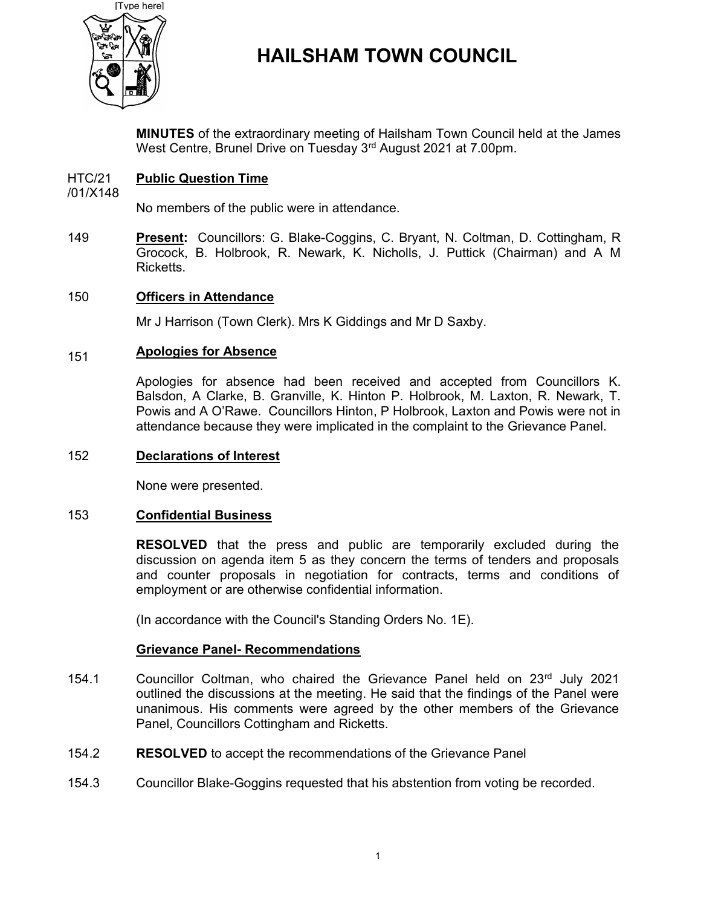

# HAILSHAM TOWN COUNCIL

MINUTES of the extraordinary meeting of Hailsham Town Council held at the James West Centre, Brunel Drive on Tuesday 3<sup>rd</sup> August 2021 at 7.00pm.

#### HTC/21 Public Question Time

/01/X148

No members of the public were in attendance.

149 Present: Councillors: G. Blake-Coggins, C. Bryant, N. Coltman, D. Cottingham, R Grocock, B. Holbrook, R. Newark, K. Nicholls, J. Puttick (Chairman) and A M **Ricketts** 

#### 150 Officers in Attendance

Mr J Harrison (Town Clerk). Mrs K Giddings and Mr D Saxby.

#### 151 Apologies for Absence

Apologies for absence had been received and accepted from Councillors K. Balsdon, A Clarke, B. Granville, K. Hinton P. Holbrook, M. Laxton, R. Newark, T. Powis and A O'Rawe. Councillors Hinton, P Holbrook, Laxton and Powis were not in attendance because they were implicated in the complaint to the Grievance Panel.

# 152 Declarations of Interest

None were presented.

## 153 Confidential Business

RESOLVED that the press and public are temporarily excluded during the discussion on agenda item 5 as they concern the terms of tenders and proposals and counter proposals in negotiation for contracts, terms and conditions of employment or are otherwise confidential information.

(In accordance with the Council's Standing Orders No. 1E).

## Grievance Panel- Recommendations

- 154.1 Councillor Coltman, who chaired the Grievance Panel held on  $23<sup>rd</sup>$  July 2021 outlined the discussions at the meeting. He said that the findings of the Panel were unanimous. His comments were agreed by the other members of the Grievance Panel, Councillors Cottingham and Ricketts.
- 154.2 RESOLVED to accept the recommendations of the Grievance Panel
- 154.3 Councillor Blake-Goggins requested that his abstention from voting be recorded.